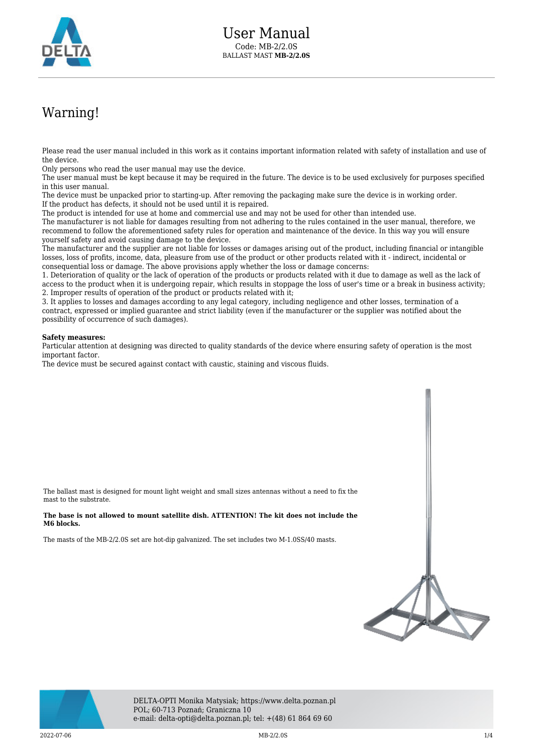

## Warning!

Please read the user manual included in this work as it contains important information related with safety of installation and use of the device.

Only persons who read the user manual may use the device.

The user manual must be kept because it may be required in the future. The device is to be used exclusively for purposes specified in this user manual.

The device must be unpacked prior to starting-up. After removing the packaging make sure the device is in working order. If the product has defects, it should not be used until it is repaired.

The product is intended for use at home and commercial use and may not be used for other than intended use.

The manufacturer is not liable for damages resulting from not adhering to the rules contained in the user manual, therefore, we recommend to follow the aforementioned safety rules for operation and maintenance of the device. In this way you will ensure yourself safety and avoid causing damage to the device.

The manufacturer and the supplier are not liable for losses or damages arising out of the product, including financial or intangible losses, loss of profits, income, data, pleasure from use of the product or other products related with it - indirect, incidental or consequential loss or damage. The above provisions apply whether the loss or damage concerns:

1. Deterioration of quality or the lack of operation of the products or products related with it due to damage as well as the lack of access to the product when it is undergoing repair, which results in stoppage the loss of user's time or a break in business activity; 2. Improper results of operation of the product or products related with it;

3. It applies to losses and damages according to any legal category, including negligence and other losses, termination of a contract, expressed or implied guarantee and strict liability (even if the manufacturer or the supplier was notified about the possibility of occurrence of such damages).

## **Safety measures:**

Particular attention at designing was directed to quality standards of the device where ensuring safety of operation is the most important factor.

The device must be secured against contact with caustic, staining and viscous fluids.

The ballast mast is designed for mount light weight and small sizes antennas without a need to fix the mast to the substrate.

## **The base is not allowed to mount satellite dish. ATTENTION! The kit does not include the M6 blocks.**

The masts of the MB-2/2.0S set are hot-dip galvanized. The set includes two M-1.0SS/40 masts.





DELTA-OPTI Monika Matysiak; https://www.delta.poznan.pl POL; 60-713 Poznań; Graniczna 10 e-mail: delta-opti@delta.poznan.pl; tel: +(48) 61 864 69 60

2022-07-06 **MB-2/2.0S MB-2/2.0S MB-2022-07-06 MB-2022-07-06**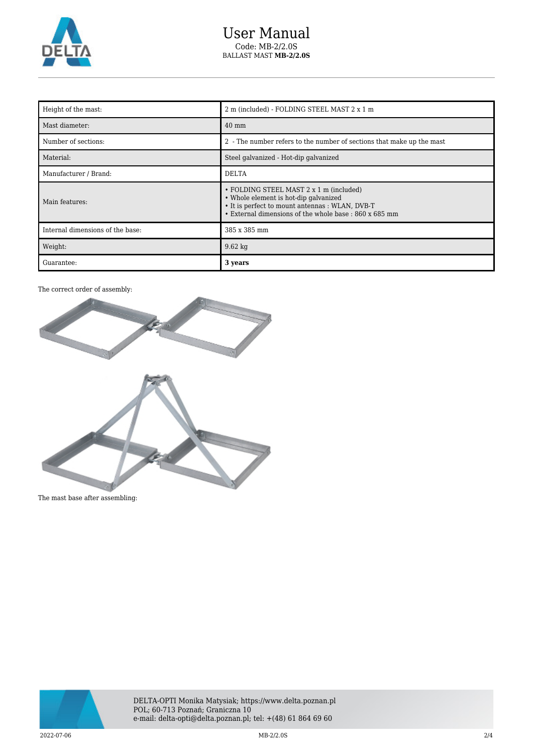

| Height of the mast:              | 2 m (included) - FOLDING STEEL MAST 2 x 1 m                                                                                                                                                   |
|----------------------------------|-----------------------------------------------------------------------------------------------------------------------------------------------------------------------------------------------|
| Mast diameter:                   | $40 \text{ mm}$                                                                                                                                                                               |
| Number of sections:              | 2 - The number refers to the number of sections that make up the mast                                                                                                                         |
| Material:                        | Steel galvanized - Hot-dip galvanized                                                                                                                                                         |
| Manufacturer / Brand:            | <b>DELTA</b>                                                                                                                                                                                  |
| Main features:                   | • FOLDING STEEL MAST 2 x 1 m (included)<br>• Whole element is hot-dip galvanized<br>• It is perfect to mount antennas : WLAN, DVB-T<br>• External dimensions of the whole base : 860 x 685 mm |
| Internal dimensions of the base: | 385 x 385 mm                                                                                                                                                                                  |
| Weight:                          | $9.62 \text{ kg}$                                                                                                                                                                             |
| Guarantee:                       | 3 years                                                                                                                                                                                       |

## The correct order of assembly:



The mast base after assembling:

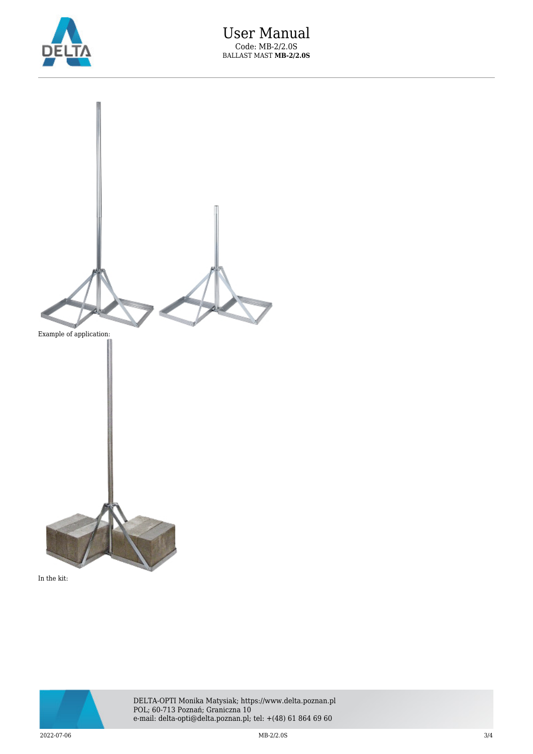